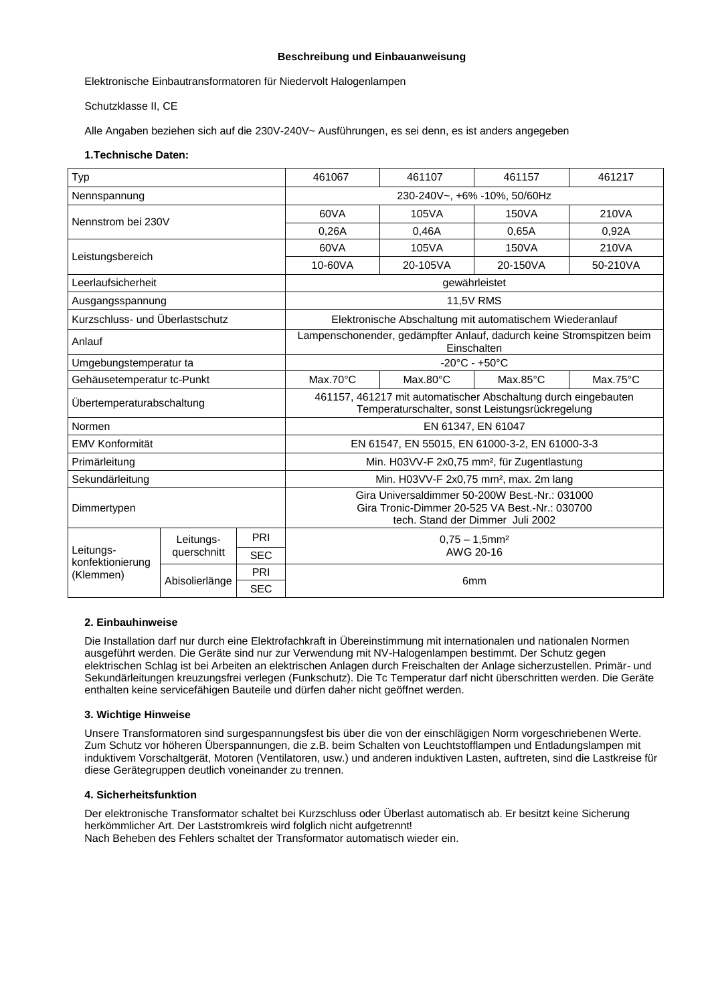# **Beschreibung und Einbauanweisung**

Elektronische Einbautransformatoren für Niedervolt Halogenlampen

Schutzklasse II, CE

Alle Angaben beziehen sich auf die 230V-240V~ Ausführungen, es sei denn, es ist anders angegeben

# **1.Technische Daten:**

| Typ                                        |                          |            | 461067<br>461107<br>461157<br>461217                                                                                                 |          |                   |                   |  |
|--------------------------------------------|--------------------------|------------|--------------------------------------------------------------------------------------------------------------------------------------|----------|-------------------|-------------------|--|
| Nennspannung                               |                          |            | 230-240V~, +6% -10%, 50/60Hz                                                                                                         |          |                   |                   |  |
| Nennstrom bei 230V                         |                          |            | 60VA                                                                                                                                 | 105VA    | 150VA             | 210VA             |  |
|                                            |                          |            | 0.26A                                                                                                                                | 0,46A    | 0,65A             | 0,92A             |  |
| Leistungsbereich                           |                          |            | 60VA                                                                                                                                 | 105VA    | 150VA             | 210VA             |  |
|                                            |                          |            | 10-60VA                                                                                                                              | 20-105VA | 20-150VA          | 50-210VA          |  |
| Leerlaufsicherheit                         |                          |            | gewährleistet                                                                                                                        |          |                   |                   |  |
| Ausgangsspannung                           |                          |            | <b>11,5V RMS</b>                                                                                                                     |          |                   |                   |  |
| Kurzschluss- und Überlastschutz            |                          |            | Elektronische Abschaltung mit automatischem Wiederanlauf                                                                             |          |                   |                   |  |
| Anlauf                                     |                          |            | Lampenschonender, gedämpfter Anlauf, dadurch keine Stromspitzen beim<br>Einschalten                                                  |          |                   |                   |  |
| Umgebungstemperatur ta                     |                          |            | $-20^{\circ}$ C - $+50^{\circ}$ C                                                                                                    |          |                   |                   |  |
| Gehäusetemperatur tc-Punkt                 |                          |            | $Max.70^{\circ}C$                                                                                                                    | Max.80°C | $Max.85^{\circ}C$ | $Max.75^{\circ}C$ |  |
| Übertemperaturabschaltung                  |                          |            | 461157, 461217 mit automatischer Abschaltung durch eingebauten<br>Temperaturschalter, sonst Leistungsrückregelung                    |          |                   |                   |  |
| Normen                                     |                          |            | EN 61347, EN 61047                                                                                                                   |          |                   |                   |  |
| EMV Konformität                            |                          |            | EN 61547, EN 55015, EN 61000-3-2, EN 61000-3-3                                                                                       |          |                   |                   |  |
| Primärleitung                              |                          |            | Min. H03VV-F 2x0,75 mm <sup>2</sup> , für Zugentlastung                                                                              |          |                   |                   |  |
| Sekundärleitung                            |                          |            | Min. H03VV-F 2x0,75 mm <sup>2</sup> , max. 2m lang                                                                                   |          |                   |                   |  |
| Dimmertypen                                |                          |            | Gira Universaldimmer 50-200W Best.-Nr.: 031000<br>Gira Tronic-Dimmer 20-525 VA Best.-Nr.: 030700<br>tech. Stand der Dimmer Juli 2002 |          |                   |                   |  |
|                                            | Leitungs-<br>querschnitt | PRI        | $0.75 - 1.5$ mm <sup>2</sup>                                                                                                         |          |                   |                   |  |
| Leitungs-<br>konfektionierung<br>(Klemmen) |                          | <b>SEC</b> |                                                                                                                                      |          |                   |                   |  |
|                                            | Abisolierlänge           | PRI        | 6 <sub>mm</sub>                                                                                                                      |          |                   |                   |  |
|                                            |                          | <b>SEC</b> |                                                                                                                                      |          |                   |                   |  |

## **2. Einbauhinweise**

Die Installation darf nur durch eine Elektrofachkraft in Übereinstimmung mit internationalen und nationalen Normen ausgeführt werden. Die Geräte sind nur zur Verwendung mit NV-Halogenlampen bestimmt. Der Schutz gegen elektrischen Schlag ist bei Arbeiten an elektrischen Anlagen durch Freischalten der Anlage sicherzustellen. Primär- und Sekundärleitungen kreuzungsfrei verlegen (Funkschutz). Die Tc Temperatur darf nicht überschritten werden. Die Geräte enthalten keine servicefähigen Bauteile und dürfen daher nicht geöffnet werden.

#### **3. Wichtige Hinweise**

Unsere Transformatoren sind surgespannungsfest bis über die von der einschlägigen Norm vorgeschriebenen Werte. Zum Schutz vor höheren Überspannungen, die z.B. beim Schalten von Leuchtstofflampen und Entladungslampen mit induktivem Vorschaltgerät, Motoren (Ventilatoren, usw.) und anderen induktiven Lasten, auftreten, sind die Lastkreise für diese Gerätegruppen deutlich voneinander zu trennen.

#### **4. Sicherheitsfunktion**

Der elektronische Transformator schaltet bei Kurzschluss oder Überlast automatisch ab. Er besitzt keine Sicherung herkömmlicher Art. Der Laststromkreis wird folglich nicht aufgetrennt! Nach Beheben des Fehlers schaltet der Transformator automatisch wieder ein.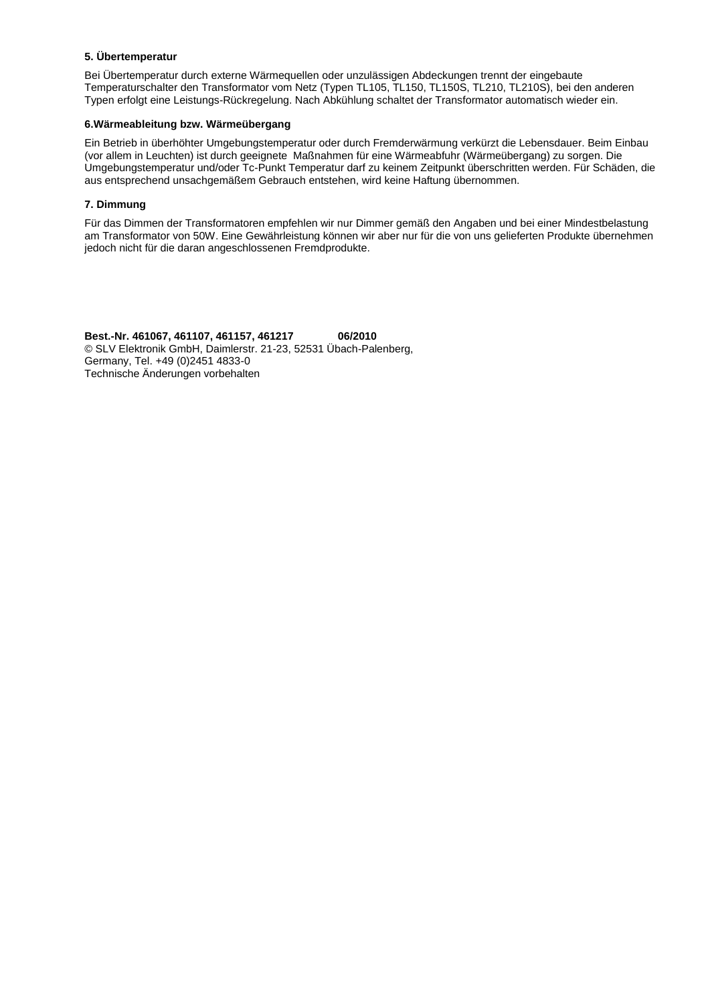## **5. Übertemperatur**

Bei Übertemperatur durch externe Wärmequellen oder unzulässigen Abdeckungen trennt der eingebaute Temperaturschalter den Transformator vom Netz (Typen TL105, TL150, TL150S, TL210, TL210S), bei den anderen Typen erfolgt eine Leistungs-Rückregelung. Nach Abkühlung schaltet der Transformator automatisch wieder ein.

# **6.Wärmeableitung bzw. Wärmeübergang**

Ein Betrieb in überhöhter Umgebungstemperatur oder durch Fremderwärmung verkürzt die Lebensdauer. Beim Einbau (vor allem in Leuchten) ist durch geeignete Maßnahmen für eine Wärmeabfuhr (Wärmeübergang) zu sorgen. Die Umgebungstemperatur und/oder Tc-Punkt Temperatur darf zu keinem Zeitpunkt überschritten werden. Für Schäden, die aus entsprechend unsachgemäßem Gebrauch entstehen, wird keine Haftung übernommen.

# **7. Dimmung**

Für das Dimmen der Transformatoren empfehlen wir nur Dimmer gemäß den Angaben und bei einer Mindestbelastung am Transformator von 50W. Eine Gewährleistung können wir aber nur für die von uns gelieferten Produkte übernehmen jedoch nicht für die daran angeschlossenen Fremdprodukte.

**Best.-Nr. 461067, 461107, 461157, 461217 06/2010** © SLV Elektronik GmbH, Daimlerstr. 21-23, 52531 Übach-Palenberg, Germany, Tel. +49 (0)2451 4833-0 Technische Änderungen vorbehalten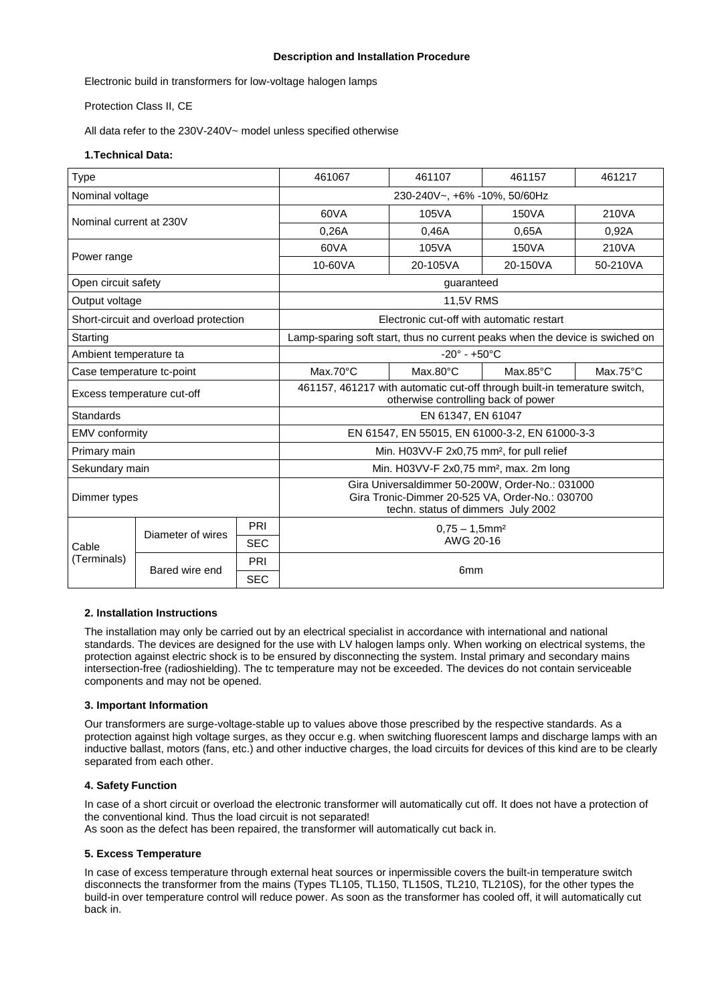# **Description and Installation Procedure**

Electronic build in transformers for low-voltage halogen lamps

Protection Class II, CE

All data refer to the 230V-240V~ model unless specified otherwise

# **1.Technical Data:**

| Type                                  |                   |            | 461067<br>461107<br>461157                                                                                                               |          |                   | 461217            |  |
|---------------------------------------|-------------------|------------|------------------------------------------------------------------------------------------------------------------------------------------|----------|-------------------|-------------------|--|
| Nominal voltage                       |                   |            | 230-240V~, +6% -10%, 50/60Hz                                                                                                             |          |                   |                   |  |
| Nominal current at 230V               |                   |            | 60VA                                                                                                                                     | 105VA    | 150VA             | 210VA             |  |
|                                       |                   |            | 0,26A                                                                                                                                    | 0,46A    | 0.65A             | 0,92A             |  |
| Power range                           |                   |            | 60VA                                                                                                                                     | 105VA    | 150VA             | 210VA             |  |
|                                       |                   |            | 10-60VA                                                                                                                                  | 20-105VA | 20-150VA          | 50-210VA          |  |
| Open circuit safety                   |                   |            | guaranteed                                                                                                                               |          |                   |                   |  |
| Output voltage                        |                   |            | 11,5V RMS                                                                                                                                |          |                   |                   |  |
| Short-circuit and overload protection |                   |            | Electronic cut-off with automatic restart                                                                                                |          |                   |                   |  |
| Starting                              |                   |            | Lamp-sparing soft start, thus no current peaks when the device is swiched on                                                             |          |                   |                   |  |
| Ambient temperature ta                |                   |            | $-20^\circ - +50^\circ C$                                                                                                                |          |                   |                   |  |
| Case temperature tc-point             |                   |            | $Max.70^{\circ}C$                                                                                                                        | Max.80°C | $Max.85^{\circ}C$ | $Max.75^{\circ}C$ |  |
| Excess temperature cut-off            |                   |            | 461157, 461217 with automatic cut-off through built-in temerature switch,<br>otherwise controlling back of power                         |          |                   |                   |  |
| Standards                             |                   |            | EN 61347, EN 61047                                                                                                                       |          |                   |                   |  |
| EMV conformity                        |                   |            | EN 61547, EN 55015, EN 61000-3-2, EN 61000-3-3                                                                                           |          |                   |                   |  |
| Primary main                          |                   |            | Min. H03VV-F 2x0,75 mm <sup>2</sup> , for pull relief                                                                                    |          |                   |                   |  |
| Sekundary main                        |                   |            | Min. H03VV-F 2x0,75 mm <sup>2</sup> , max. 2m long                                                                                       |          |                   |                   |  |
| Dimmer types                          |                   |            | Gira Universaldimmer 50-200W, Order-No.: 031000<br>Gira Tronic-Dimmer 20-525 VA, Order-No.: 030700<br>techn. status of dimmers July 2002 |          |                   |                   |  |
|                                       | Diameter of wires | PRI        | $0.75 - 1.5$ mm <sup>2</sup>                                                                                                             |          |                   |                   |  |
| Cable                                 |                   | <b>SEC</b> | AWG 20-16                                                                                                                                |          |                   |                   |  |
| (Terminals)                           | Bared wire end    | PRI        | 6 <sub>mm</sub>                                                                                                                          |          |                   |                   |  |
|                                       |                   | <b>SEC</b> |                                                                                                                                          |          |                   |                   |  |

## **2. Installation Instructions**

The installation may only be carried out by an electrical specialist in accordance with international and national standards. The devices are designed for the use with LV halogen lamps only. When working on electrical systems, the protection against electric shock is to be ensured by disconnecting the system. Instal primary and secondary mains intersection-free (radioshielding). The tc temperature may not be exceeded. The devices do not contain serviceable components and may not be opened.

#### **3. Important Information**

Our transformers are surge-voltage-stable up to values above those prescribed by the respective standards. As a protection against high voltage surges, as they occur e.g. when switching fluorescent lamps and discharge lamps with an inductive ballast, motors (fans, etc.) and other inductive charges, the load circuits for devices of this kind are to be clearly separated from each other.

#### **4. Safety Function**

In case of a short circuit or overload the electronic transformer will automatically cut off. It does not have a protection of the conventional kind. Thus the load circuit is not separated! As soon as the defect has been repaired, the transformer will automatically cut back in.

# **5. Excess Temperature**

In case of excess temperature through external heat sources or inpermissible covers the built-in temperature switch disconnects the transformer from the mains (Types TL105, TL150, TL150S, TL210, TL210S), for the other types the build-in over temperature control will reduce power. As soon as the transformer has cooled off, it will automatically cut back in.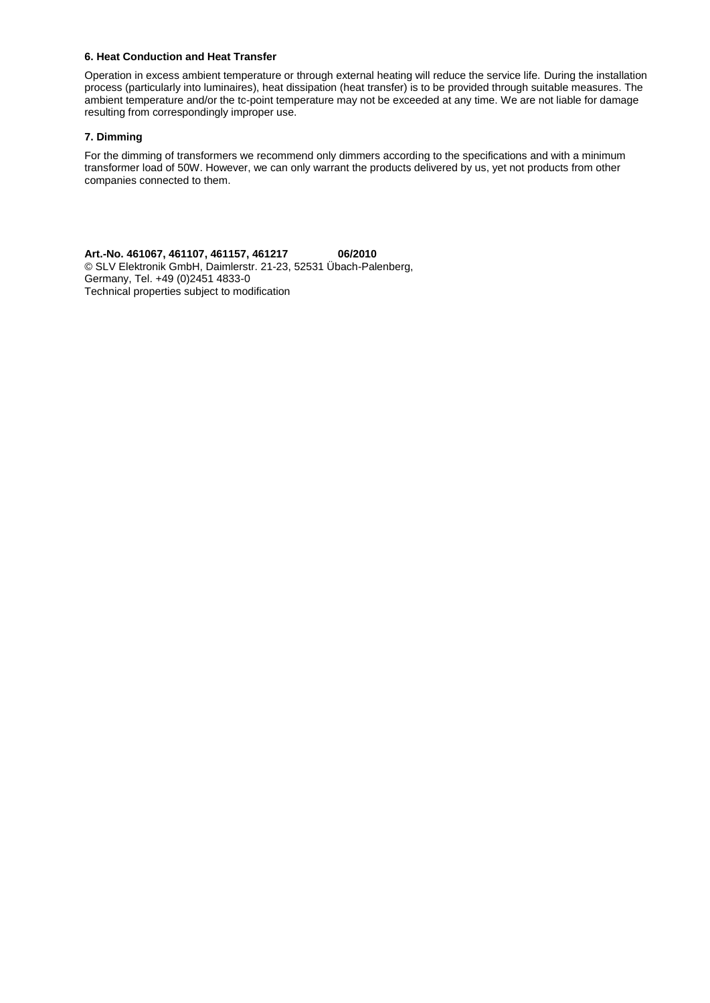## **6. Heat Conduction and Heat Transfer**

Operation in excess ambient temperature or through external heating will reduce the service life. During the installation process (particularly into luminaires), heat dissipation (heat transfer) is to be provided through suitable measures. The ambient temperature and/or the tc-point temperature may not be exceeded at any time. We are not liable for damage resulting from correspondingly improper use.

# **7. Dimming**

For the dimming of transformers we recommend only dimmers according to the specifications and with a minimum transformer load of 50W. However, we can only warrant the products delivered by us, yet not products from other companies connected to them.

**Art.-No. 461067, 461107, 461157, 461217 06/2010** © SLV Elektronik GmbH, Daimlerstr. 21-23, 52531 Übach-Palenberg, Germany, Tel. +49 (0)2451 4833-0 Technical properties subject to modification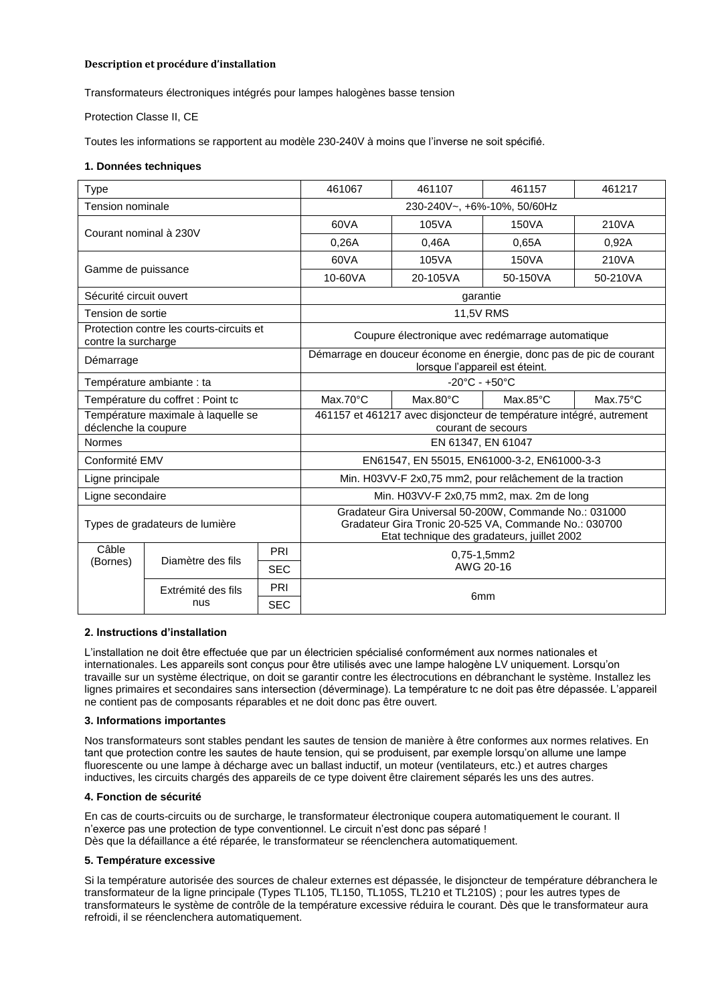## **Description et procédure d'installation**

Transformateurs électroniques intégrés pour lampes halogènes basse tension

Protection Classe II, CE

Toutes les informations se rapportent au modèle 230-240V à moins que l'inverse ne soit spécifié.

#### **1. Données techniques**

|                                                                 |                                   |            | 461067                                                                                                                                                         | 461107             | 461157                                                              | 461217            |  |
|-----------------------------------------------------------------|-----------------------------------|------------|----------------------------------------------------------------------------------------------------------------------------------------------------------------|--------------------|---------------------------------------------------------------------|-------------------|--|
| <b>Type</b>                                                     |                                   |            |                                                                                                                                                                |                    |                                                                     |                   |  |
| <b>Tension nominale</b>                                         |                                   |            | 230-240V~, +6%-10%, 50/60Hz                                                                                                                                    |                    |                                                                     |                   |  |
| Courant nominal à 230V                                          |                                   | 60VA       | 105VA                                                                                                                                                          | 150VA              | 210VA                                                               |                   |  |
|                                                                 |                                   |            | 0.26A                                                                                                                                                          | 0.46A              | 0.65A                                                               | 0,92A             |  |
| Gamme de puissance                                              |                                   |            | 60VA                                                                                                                                                           | 105VA              | 150VA                                                               | 210VA             |  |
|                                                                 |                                   |            | 10-60VA                                                                                                                                                        | 20-105VA           | 50-150VA                                                            | 50-210VA          |  |
| Sécurité circuit ouvert                                         |                                   |            | garantie                                                                                                                                                       |                    |                                                                     |                   |  |
| Tension de sortie                                               |                                   |            | 11,5V RMS                                                                                                                                                      |                    |                                                                     |                   |  |
| Protection contre les courts-circuits et<br>contre la surcharge |                                   |            | Coupure électronique avec redémarrage automatique                                                                                                              |                    |                                                                     |                   |  |
| Démarrage                                                       |                                   |            | Démarrage en douceur économe en énergie, donc pas de pic de courant<br>lorsque l'appareil est éteint.                                                          |                    |                                                                     |                   |  |
| Température ambiante : ta                                       |                                   |            | $-20^{\circ}$ C - $+50^{\circ}$ C                                                                                                                              |                    |                                                                     |                   |  |
|                                                                 | Température du coffret : Point tc |            | $Max.70^{\circ}C$                                                                                                                                              | $Max.80^{\circ}C$  | $Max.85^{\circ}C$                                                   | $Max.75^{\circ}C$ |  |
| Température maximale à laquelle se<br>déclenche la coupure      |                                   |            |                                                                                                                                                                | courant de secours | 461157 et 461217 avec disjoncteur de température intégré, autrement |                   |  |
| <b>Normes</b>                                                   |                                   |            | EN 61347, EN 61047                                                                                                                                             |                    |                                                                     |                   |  |
| Conformité EMV                                                  |                                   |            | EN61547, EN 55015, EN61000-3-2, EN61000-3-3                                                                                                                    |                    |                                                                     |                   |  |
| Ligne principale                                                |                                   |            | Min. H03VV-F 2x0,75 mm2, pour relâchement de la traction                                                                                                       |                    |                                                                     |                   |  |
| Ligne secondaire                                                |                                   |            | Min. H03VV-F 2x0,75 mm2, max. 2m de long                                                                                                                       |                    |                                                                     |                   |  |
| Types de gradateurs de lumière                                  |                                   |            | Gradateur Gira Universal 50-200W, Commande No.: 031000<br>Gradateur Gira Tronic 20-525 VA, Commande No.: 030700<br>Etat technique des gradateurs, juillet 2002 |                    |                                                                     |                   |  |
| Câble                                                           | Diamètre des fils                 | PRI        | $0.75 - 1.5$ mm2<br>AWG 20-16                                                                                                                                  |                    |                                                                     |                   |  |
| (Bornes)                                                        |                                   | <b>SEC</b> |                                                                                                                                                                |                    |                                                                     |                   |  |
|                                                                 | Extrémité des fils                | PRI        | 6 <sub>mm</sub>                                                                                                                                                |                    |                                                                     |                   |  |
|                                                                 | nus                               | <b>SEC</b> |                                                                                                                                                                |                    |                                                                     |                   |  |

## **2. Instructions d'installation**

L'installation ne doit être effectuée que par un électricien spécialisé conformément aux normes nationales et internationales. Les appareils sont conçus pour être utilisés avec une lampe halogène LV uniquement. Lorsqu'on travaille sur un système électrique, on doit se garantir contre les électrocutions en débranchant le système. Installez les lignes primaires et secondaires sans intersection (déverminage). La température tc ne doit pas être dépassée. L'appareil ne contient pas de composants réparables et ne doit donc pas être ouvert.

#### **3. Informations importantes**

Nos transformateurs sont stables pendant les sautes de tension de manière à être conformes aux normes relatives. En tant que protection contre les sautes de haute tension, qui se produisent, par exemple lorsqu'on allume une lampe fluorescente ou une lampe à décharge avec un ballast inductif, un moteur (ventilateurs, etc.) et autres charges inductives, les circuits chargés des appareils de ce type doivent être clairement séparés les uns des autres.

#### **4. Fonction de sécurité**

En cas de courts-circuits ou de surcharge, le transformateur électronique coupera automatiquement le courant. Il n'exerce pas une protection de type conventionnel. Le circuit n'est donc pas séparé ! Dès que la défaillance a été réparée, le transformateur se réenclenchera automatiquement.

#### **5. Température excessive**

Si la température autorisée des sources de chaleur externes est dépassée, le disjoncteur de température débranchera le transformateur de la ligne principale (Types TL105, TL150, TL105S, TL210 et TL210S) ; pour les autres types de transformateurs le système de contrôle de la température excessive réduira le courant. Dès que le transformateur aura refroidi, il se réenclenchera automatiquement.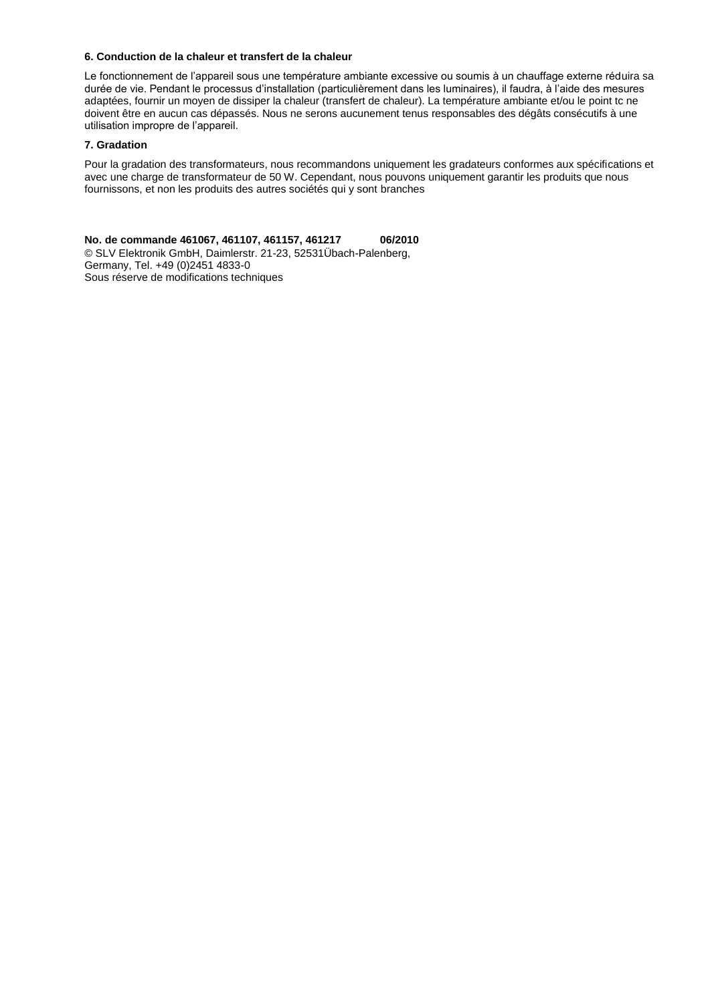#### **6. Conduction de la chaleur et transfert de la chaleur**

Le fonctionnement de l'appareil sous une température ambiante excessive ou soumis à un chauffage externe réduira sa durée de vie. Pendant le processus d'installation (particulièrement dans les luminaires), il faudra, à l'aide des mesures adaptées, fournir un moyen de dissiper la chaleur (transfert de chaleur). La température ambiante et/ou le point tc ne doivent être en aucun cas dépassés. Nous ne serons aucunement tenus responsables des dégâts consécutifs à une utilisation impropre de l'appareil.

# **7. Gradation**

Pour la gradation des transformateurs, nous recommandons uniquement les gradateurs conformes aux spécifications et avec une charge de transformateur de 50 W. Cependant, nous pouvons uniquement garantir les produits que nous fournissons, et non les produits des autres sociétés qui y sont branches

**No. de commande 461067, 461107, 461157, 461217 06/2010** © SLV Elektronik GmbH, Daimlerstr. 21-23, 52531Übach-Palenberg, Germany, Tel. +49 (0)2451 4833-0 Sous réserve de modifications techniques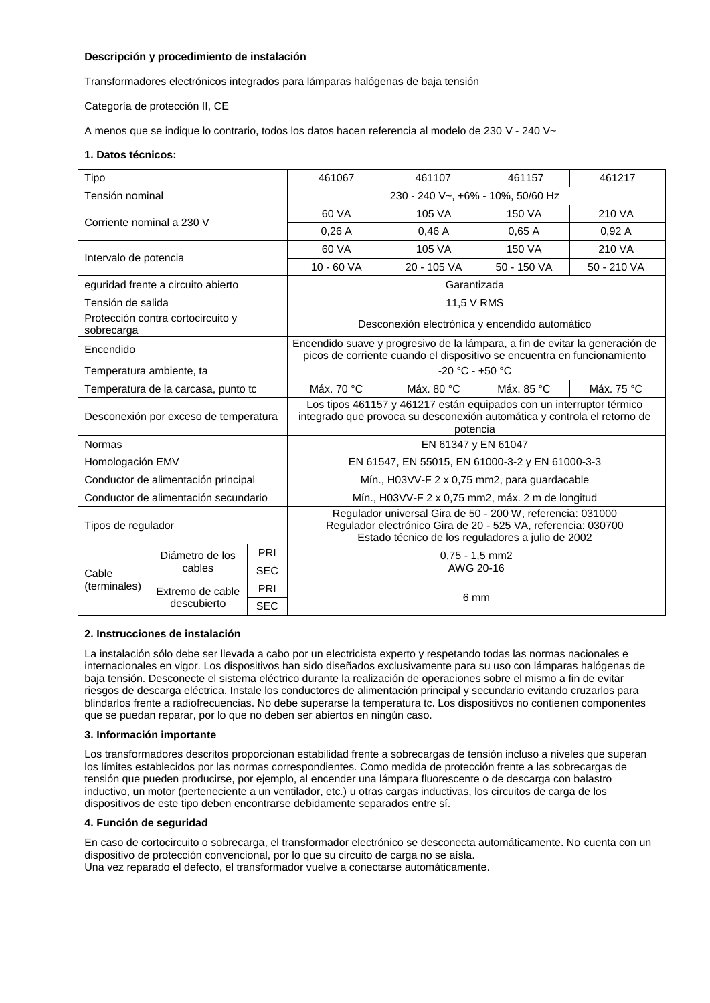# **Descripción y procedimiento de instalación**

Transformadores electrónicos integrados para lámparas halógenas de baja tensión

Categoría de protección II, CE

A menos que se indique lo contrario, todos los datos hacen referencia al modelo de 230 V - 240 V~

## **1. Datos técnicos:**

| Tipo                                            |                                      | 461067     | 461107                                                                                                                                                                           | 461157        | 461217      |            |  |
|-------------------------------------------------|--------------------------------------|------------|----------------------------------------------------------------------------------------------------------------------------------------------------------------------------------|---------------|-------------|------------|--|
| Tensión nominal                                 |                                      |            | 230 - 240 V~, +6% - 10%, 50/60 Hz                                                                                                                                                |               |             |            |  |
| Corriente nominal a 230 V                       |                                      | 60 VA      | 105 VA                                                                                                                                                                           | 150 VA        | 210 VA      |            |  |
|                                                 |                                      | 0,26A      | 0.46A                                                                                                                                                                            | 0.65A         | 0,92A       |            |  |
| Intervalo de potencia                           |                                      | 60 VA      | 105 VA                                                                                                                                                                           | <b>150 VA</b> | 210 VA      |            |  |
|                                                 |                                      | 10 - 60 VA | 20 - 105 VA                                                                                                                                                                      | 50 - 150 VA   | 50 - 210 VA |            |  |
| eguridad frente a circuito abierto              |                                      |            | Garantizada                                                                                                                                                                      |               |             |            |  |
| Tensión de salida                               |                                      |            |                                                                                                                                                                                  | 11,5 V RMS    |             |            |  |
| Protección contra cortocircuito y<br>sobrecarga |                                      |            | Desconexión electrónica y encendido automático                                                                                                                                   |               |             |            |  |
| Encendido                                       |                                      |            | Encendido suave y progresivo de la lámpara, a fin de evitar la generación de<br>picos de corriente cuando el dispositivo se encuentra en funcionamiento                          |               |             |            |  |
| Temperatura ambiente, ta                        |                                      |            | $-20 °C - +50 °C$                                                                                                                                                                |               |             |            |  |
| Temperatura de la carcasa, punto tc             |                                      |            | Máx. 70 °C                                                                                                                                                                       | Máx. 80 °C    | Máx. 85 °C  | Máx. 75 °C |  |
| Desconexión por exceso de temperatura           |                                      |            | Los tipos 461157 y 461217 están equipados con un interruptor térmico<br>integrado que provoca su desconexión automática y controla el retorno de<br>potencia                     |               |             |            |  |
| <b>Normas</b>                                   |                                      |            | EN 61347 y EN 61047                                                                                                                                                              |               |             |            |  |
| Homologación EMV                                |                                      |            | EN 61547, EN 55015, EN 61000-3-2 y EN 61000-3-3                                                                                                                                  |               |             |            |  |
| Conductor de alimentación principal             |                                      |            | Mín., H03VV-F 2 x 0,75 mm2, para guardacable                                                                                                                                     |               |             |            |  |
|                                                 | Conductor de alimentación secundario |            | Mín., H03VV-F 2 x 0,75 mm2, máx. 2 m de longitud                                                                                                                                 |               |             |            |  |
| Tipos de regulador                              |                                      |            | Regulador universal Gira de 50 - 200 W, referencia: 031000<br>Regulador electrónico Gira de 20 - 525 VA, referencia: 030700<br>Estado técnico de los reguladores a julio de 2002 |               |             |            |  |
|                                                 | Diámetro de los<br>cables            | PRI        | $0,75 - 1,5$ mm2                                                                                                                                                                 |               |             |            |  |
| Cable                                           |                                      | <b>SEC</b> | AWG 20-16                                                                                                                                                                        |               |             |            |  |
| (terminales)                                    | Extremo de cable                     | PRI        | 6 mm                                                                                                                                                                             |               |             |            |  |
|                                                 | descubierto                          | <b>SEC</b> |                                                                                                                                                                                  |               |             |            |  |

#### **2. Instrucciones de instalación**

La instalación sólo debe ser llevada a cabo por un electricista experto y respetando todas las normas nacionales e internacionales en vigor. Los dispositivos han sido diseñados exclusivamente para su uso con lámparas halógenas de baja tensión. Desconecte el sistema eléctrico durante la realización de operaciones sobre el mismo a fin de evitar riesgos de descarga eléctrica. Instale los conductores de alimentación principal y secundario evitando cruzarlos para blindarlos frente a radiofrecuencias. No debe superarse la temperatura tc. Los dispositivos no contienen componentes que se puedan reparar, por lo que no deben ser abiertos en ningún caso.

#### **3. Información importante**

Los transformadores descritos proporcionan estabilidad frente a sobrecargas de tensión incluso a niveles que superan los límites establecidos por las normas correspondientes. Como medida de protección frente a las sobrecargas de tensión que pueden producirse, por ejemplo, al encender una lámpara fluorescente o de descarga con balastro inductivo, un motor (perteneciente a un ventilador, etc.) u otras cargas inductivas, los circuitos de carga de los dispositivos de este tipo deben encontrarse debidamente separados entre sí.

#### **4. Función de seguridad**

En caso de cortocircuito o sobrecarga, el transformador electrónico se desconecta automáticamente. No cuenta con un dispositivo de protección convencional, por lo que su circuito de carga no se aísla. Una vez reparado el defecto, el transformador vuelve a conectarse automáticamente.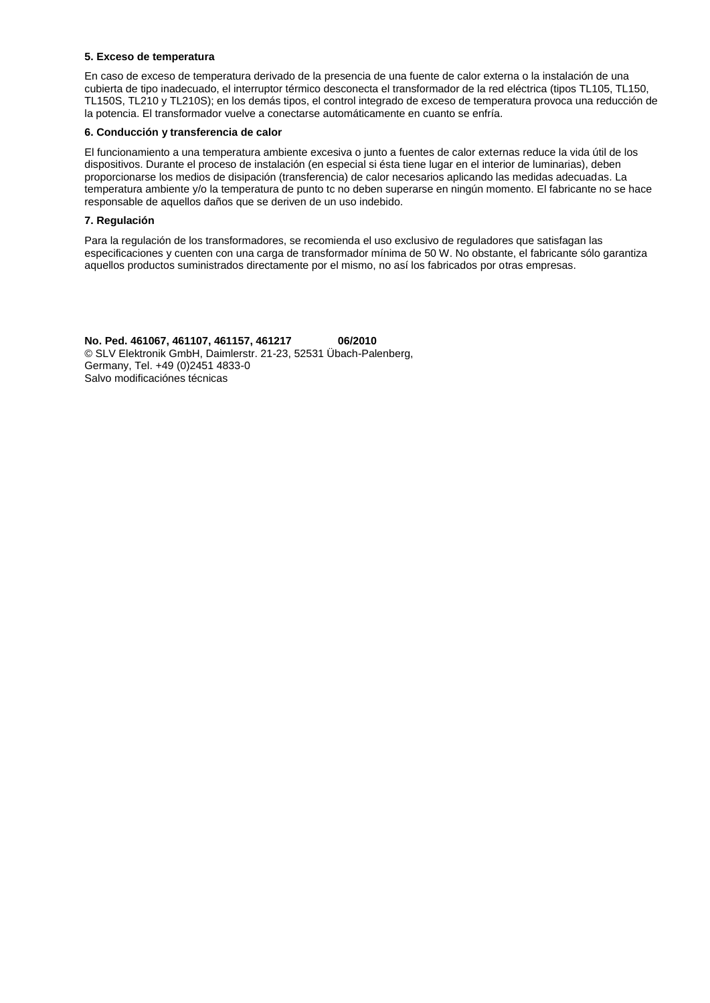#### **5. Exceso de temperatura**

En caso de exceso de temperatura derivado de la presencia de una fuente de calor externa o la instalación de una cubierta de tipo inadecuado, el interruptor térmico desconecta el transformador de la red eléctrica (tipos TL105, TL150, TL150S, TL210 y TL210S); en los demás tipos, el control integrado de exceso de temperatura provoca una reducción de la potencia. El transformador vuelve a conectarse automáticamente en cuanto se enfría.

## **6. Conducción y transferencia de calor**

El funcionamiento a una temperatura ambiente excesiva o junto a fuentes de calor externas reduce la vida útil de los dispositivos. Durante el proceso de instalación (en especial si ésta tiene lugar en el interior de luminarias), deben proporcionarse los medios de disipación (transferencia) de calor necesarios aplicando las medidas adecuadas. La temperatura ambiente y/o la temperatura de punto tc no deben superarse en ningún momento. El fabricante no se hace responsable de aquellos daños que se deriven de un uso indebido.

## **7. Regulación**

Para la regulación de los transformadores, se recomienda el uso exclusivo de reguladores que satisfagan las especificaciones y cuenten con una carga de transformador mínima de 50 W. No obstante, el fabricante sólo garantiza aquellos productos suministrados directamente por el mismo, no así los fabricados por otras empresas.

**No. Ped. 461067, 461107, 461157, 461217 06/2010** © SLV Elektronik GmbH, Daimlerstr. 21-23, 52531 Übach-Palenberg, Germany, Tel. +49 (0)2451 4833-0 Salvo modificaciónes técnicas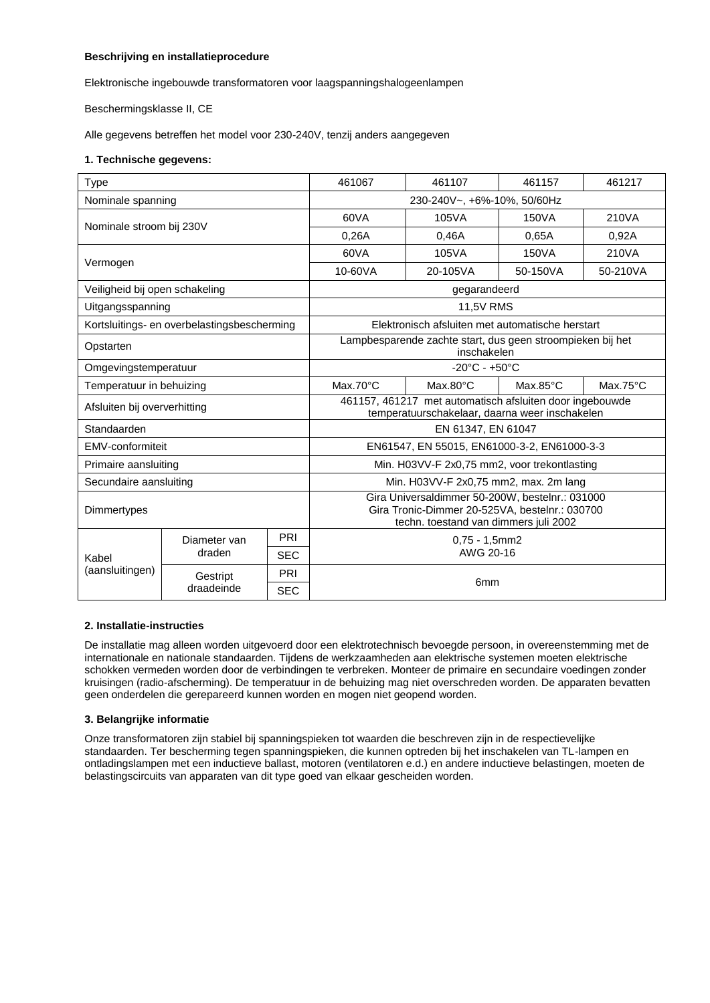# **Beschrijving en installatieprocedure**

Elektronische ingebouwde transformatoren voor laagspanningshalogeenlampen

Beschermingsklasse II, CE

Alle gegevens betreffen het model voor 230-240V, tenzij anders aangegeven

## **1. Technische gegevens:**

| Type                                        |                        |            | 461067                                                                                                                                     | 461107                                                                                                     | 461157            | 461217            |  |
|---------------------------------------------|------------------------|------------|--------------------------------------------------------------------------------------------------------------------------------------------|------------------------------------------------------------------------------------------------------------|-------------------|-------------------|--|
| Nominale spanning                           |                        |            | 230-240V~, +6%-10%, 50/60Hz                                                                                                                |                                                                                                            |                   |                   |  |
| Nominale stroom bij 230V                    |                        |            | 60VA                                                                                                                                       | 105VA                                                                                                      | 150VA             | 210VA             |  |
|                                             |                        |            |                                                                                                                                            | 0.46A                                                                                                      | 0.65A             | 0,92A             |  |
| Vermogen                                    |                        |            | 60VA                                                                                                                                       | 105VA                                                                                                      | 150VA             | 210VA             |  |
|                                             |                        |            | 10-60VA                                                                                                                                    | 20-105VA                                                                                                   | 50-150VA          | 50-210VA          |  |
| Veiligheid bij open schakeling              |                        |            | gegarandeerd                                                                                                                               |                                                                                                            |                   |                   |  |
| Uitgangsspanning                            |                        |            | 11,5V RMS                                                                                                                                  |                                                                                                            |                   |                   |  |
| Kortsluitings- en overbelastingsbescherming |                        |            | Elektronisch afsluiten met automatische herstart                                                                                           |                                                                                                            |                   |                   |  |
| Opstarten                                   |                        |            | Lampbesparende zachte start, dus geen stroompieken bij het<br>inschakelen                                                                  |                                                                                                            |                   |                   |  |
| Omgevingstemperatuur                        |                        |            | $-20^{\circ}$ C - $+50^{\circ}$ C                                                                                                          |                                                                                                            |                   |                   |  |
| Temperatuur in behuizing                    |                        |            | $Max.70^{\circ}C$                                                                                                                          | $Max.80^{\circ}C$                                                                                          | $Max.85^{\circ}C$ | $Max.75^{\circ}C$ |  |
| Afsluiten bij oververhitting                |                        |            |                                                                                                                                            | 461157, 461217 met automatisch afsluiten door ingebouwde<br>temperatuurschakelaar, daarna weer inschakelen |                   |                   |  |
| Standaarden                                 |                        |            | EN 61347, EN 61047                                                                                                                         |                                                                                                            |                   |                   |  |
| EMV-conformiteit                            |                        |            | EN61547, EN 55015, EN61000-3-2, EN61000-3-3                                                                                                |                                                                                                            |                   |                   |  |
| Primaire aansluiting                        |                        |            | Min. H03VV-F 2x0,75 mm2, voor trekontlasting                                                                                               |                                                                                                            |                   |                   |  |
| Secundaire aansluiting                      |                        |            | Min. H03VV-F 2x0,75 mm2, max. 2m lang                                                                                                      |                                                                                                            |                   |                   |  |
| Dimmertypes                                 |                        |            | Gira Universaldimmer 50-200W, bestelnr.: 031000<br>Gira Tronic-Dimmer 20-525VA, bestelnr.: 030700<br>techn. toestand van dimmers juli 2002 |                                                                                                            |                   |                   |  |
|                                             | Diameter van<br>draden | PRI        | $0.75 - 1.5$ mm2<br>AWG 20-16                                                                                                              |                                                                                                            |                   |                   |  |
| Kabel                                       |                        | <b>SEC</b> |                                                                                                                                            |                                                                                                            |                   |                   |  |
| (aansluitingen)                             | Gestript<br>draadeinde | PRI        | 6 <sub>mm</sub>                                                                                                                            |                                                                                                            |                   |                   |  |
|                                             |                        | <b>SEC</b> |                                                                                                                                            |                                                                                                            |                   |                   |  |

# **2. Installatie-instructies**

De installatie mag alleen worden uitgevoerd door een elektrotechnisch bevoegde persoon, in overeenstemming met de internationale en nationale standaarden. Tijdens de werkzaamheden aan elektrische systemen moeten elektrische schokken vermeden worden door de verbindingen te verbreken. Monteer de primaire en secundaire voedingen zonder kruisingen (radio-afscherming). De temperatuur in de behuizing mag niet overschreden worden. De apparaten bevatten geen onderdelen die gerepareerd kunnen worden en mogen niet geopend worden.

#### **3. Belangrijke informatie**

Onze transformatoren zijn stabiel bij spanningspieken tot waarden die beschreven zijn in de respectievelijke standaarden. Ter bescherming tegen spanningspieken, die kunnen optreden bij het inschakelen van TL-lampen en ontladingslampen met een inductieve ballast, motoren (ventilatoren e.d.) en andere inductieve belastingen, moeten de belastingscircuits van apparaten van dit type goed van elkaar gescheiden worden.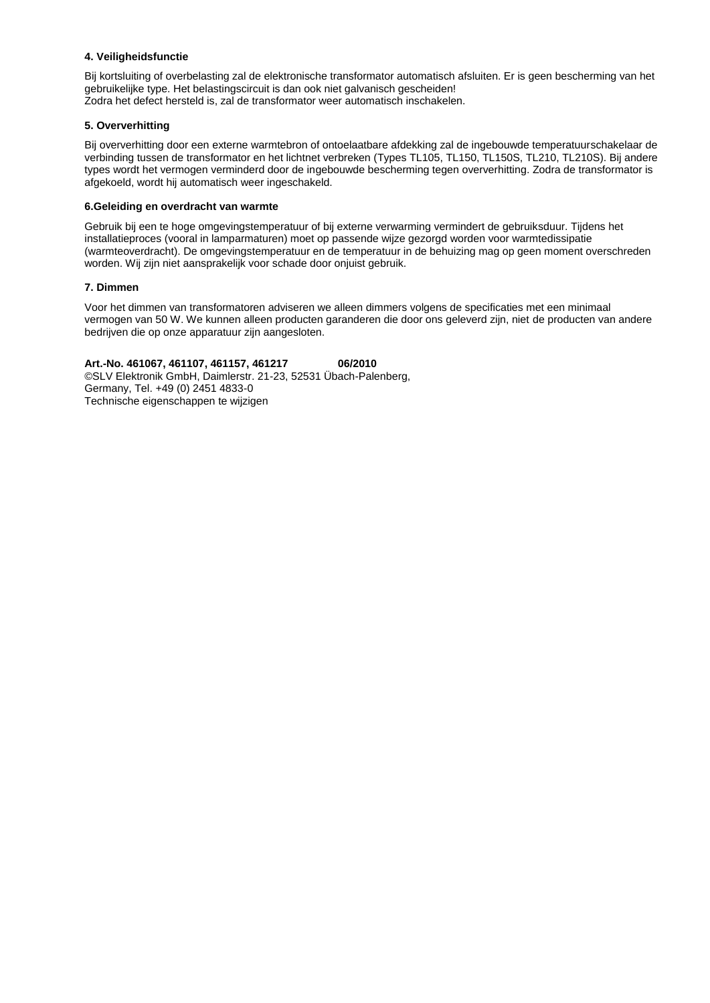## **4. Veiligheidsfunctie**

Bij kortsluiting of overbelasting zal de elektronische transformator automatisch afsluiten. Er is geen bescherming van het gebruikelijke type. Het belastingscircuit is dan ook niet galvanisch gescheiden! Zodra het defect hersteld is, zal de transformator weer automatisch inschakelen.

## **5. Oververhitting**

Bij oververhitting door een externe warmtebron of ontoelaatbare afdekking zal de ingebouwde temperatuurschakelaar de verbinding tussen de transformator en het lichtnet verbreken (Types TL105, TL150, TL150S, TL210, TL210S). Bij andere types wordt het vermogen verminderd door de ingebouwde bescherming tegen oververhitting. Zodra de transformator is afgekoeld, wordt hij automatisch weer ingeschakeld.

## **6.Geleiding en overdracht van warmte**

Gebruik bij een te hoge omgevingstemperatuur of bij externe verwarming vermindert de gebruiksduur. Tijdens het installatieproces (vooral in lamparmaturen) moet op passende wijze gezorgd worden voor warmtedissipatie (warmteoverdracht). De omgevingstemperatuur en de temperatuur in de behuizing mag op geen moment overschreden worden. Wij zijn niet aansprakelijk voor schade door onjuist gebruik.

## **7. Dimmen**

Voor het dimmen van transformatoren adviseren we alleen dimmers volgens de specificaties met een minimaal vermogen van 50 W. We kunnen alleen producten garanderen die door ons geleverd zijn, niet de producten van andere bedrijven die op onze apparatuur zijn aangesloten.

# **Art.-No. 461067, 461107, 461157, 461217 06/2010**

©SLV Elektronik GmbH, Daimlerstr. 21-23, 52531 Übach-Palenberg, Germany, Tel. +49 (0) 2451 4833-0 Technische eigenschappen te wijzigen